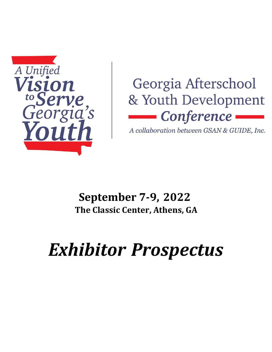

## Georgia Afterschool & Youth Development • Conference

A collaboration between GSAN & GUIDE, Inc.

### **September 7-9, 2022 The Classic Center, Athens, GA**

# *Exhibitor Prospectus*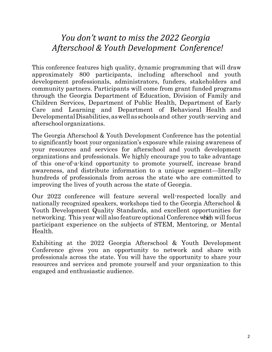#### *You don't want to miss the 2022 Georgia Afterschool & Youth Development Conference!*

This conference features high quality, dynamic programming that will draw approximately 800 participants, including afterschool and youth development professionals, administrators, funders, stakeholders and community partners. Participants will come from grant funded programs through the Georgia Department of Education, Division of Family and Children Services, Department of Public Health, Department of Early Care and Learning and Department of Behavioral Health and Developmental Disabilities, as well as schools and other youth-serving and afterschool organizations.

The Georgia Afterschool & Youth Development Conference has the potential to significantly boost your organization's exposure while raising awareness of your resources and services for afterschool and youth development organizations and professionals. We highly encourage you to take advantage of this one-of-a-kind opportunity to promote yourself, increase brand awareness, and distribute information to a unique segment—literally hundreds of professionals from across the state who are committed to improving the lives of youth across the state of Georgia.

Our 2022 conference will feature several well-respected locally and nationally recognized speakers, workshops tied to the Georgia Afterschool & Youth Development Quality Standards, and excellent opportunities for networking. This year will also feature optional Conference which will focus participant experience on the subjects of STEM, Mentoring, or Mental Health.

Exhibiting at the 2022 Georgia Afterschool & Youth Development Conference gives you an opportunity to network and share with professionals across the state. You will have the opportunity to share your resources and services and promote yourself and your organization to this engaged and enthusiastic audience.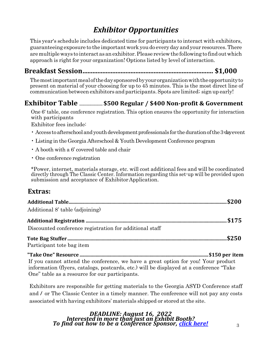#### *Exhibitor Opportunities*

This year's schedule includes dedicated time for participants to interact with exhibitors, guaranteeing exposure to the importantwork youdo every day and your resources.There aremultipleways to interact as anexhibitor.Please reviewthe following to find outwhich approach is right for your organization! Options listed by level of interaction.

#### **Breakfast Session............................................................................... \$1,000**

Themostimportantmealofthedaysponsoredbyyourorganizationwiththeopportunityto present on material of your choosing for up to 45 minutes. This is the most direct line of communication between exhibitors and participants.Spots are limited; sign up early!

#### **Exhibitor Table ........................... \$500 Regular / \$400 Non-profit & Government**

One 6' table, one conference registration. This option ensures the opportunity for interaction with participants

Exhibitor fees include:

- $\cdot$  Access to afterschool and youth development professionals for the duration of the 3-dayevent
- Listing in the Georgia Afterschool & Youth Development Conference program
- A booth with a 6' covered table and chair
- One conference registration

\*Power, internet, materials storage, etc. will cost additional fees and will be coordinated directly through The Classic Center. Information regarding this set-up will be provided upon submission and acceptance of Exhibitor Application.

#### **Extras:**

| Additional 8' table (adjoining)                                                         |  |
|-----------------------------------------------------------------------------------------|--|
|                                                                                         |  |
| Discounted conference registration for additional staff                                 |  |
|                                                                                         |  |
| Participant tote bag item                                                               |  |
|                                                                                         |  |
| If you cannot attend the conference, we have a great option for you! Your product       |  |
| information (flyers, catalogs, postcards, etc.) will be displayed at a conference "Take |  |

One" table as a resource for our participants.

Exhibitors are responsible for getting materials to the Georgia ASYD Conference staff and / or The Classic Center in a timely manner. The conference will not pay any costs associated with having exhibitors' materials shipped or stored at the site.

#### *DEADLINE: August 16, 2022 Interested in more than just an Exhibit Booth? To find out how to be a Conference Sponsor, click [here!](file:///D:/%20http/georgiaasyd.org/conference/exhibits/)* <sup>3</sup>